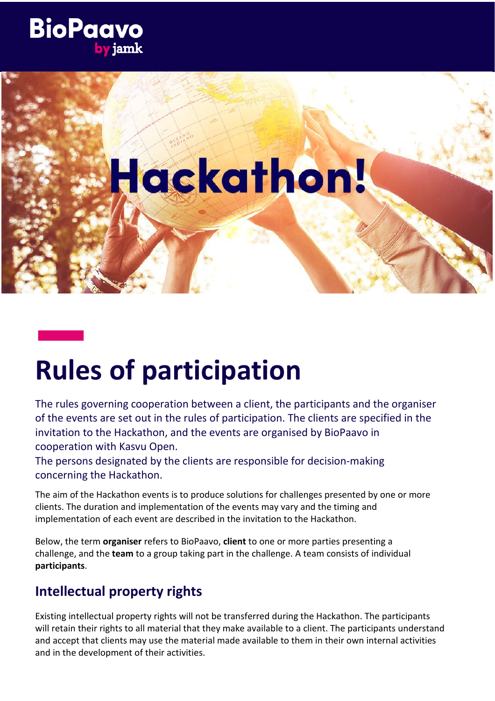## **BioPaavo**

# Hackathon!

### **Rules of participation**

The rules governing cooperation between a client, the participants and the organiser of the events are set out in the rules of participation. The clients are specified in the invitation to the Hackathon, and the events are organised by BioPaavo in cooperation with Kasvu Open.

The persons designated by the clients are responsible for decision-making concerning the Hackathon.

The aim of the Hackathon events is to produce solutions for challenges presented by one or more clients. The duration and implementation of the events may vary and the timing and implementation of each event are described in the invitation to the Hackathon.

Below, the term **organiser** refers to BioPaavo, **client** to one or more parties presenting a challenge, and the **team** to a group taking part in the challenge. A team consists of individual **participants**.

#### **Intellectual property rights**

Existing intellectual property rights will not be transferred during the Hackathon. The participants will retain their rights to all material that they make available to a client. The participants understand and accept that clients may use the material made available to them in their own internal activities and in the development of their activities.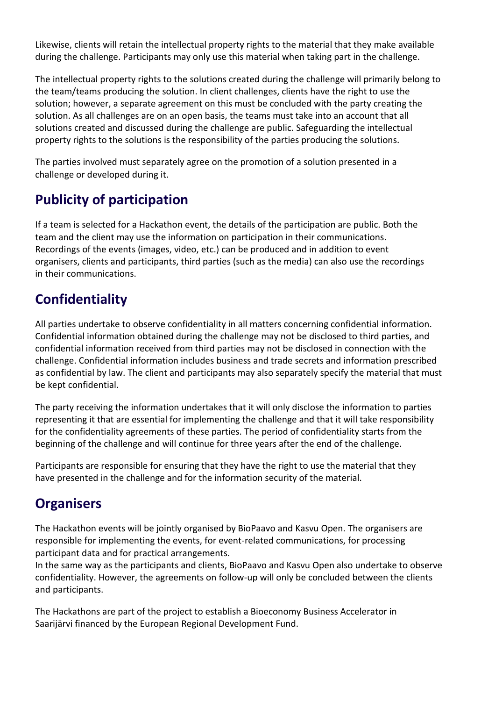Likewise, clients will retain the intellectual property rights to the material that they make available during the challenge. Participants may only use this material when taking part in the challenge.

The intellectual property rights to the solutions created during the challenge will primarily belong to the team/teams producing the solution. In client challenges, clients have the right to use the solution; however, a separate agreement on this must be concluded with the party creating the solution. As all challenges are on an open basis, the teams must take into an account that all solutions created and discussed during the challenge are public. Safeguarding the intellectual property rights to the solutions is the responsibility of the parties producing the solutions.

The parties involved must separately agree on the promotion of a solution presented in a challenge or developed during it.

#### **Publicity of participation**

If a team is selected for a Hackathon event, the details of the participation are public. Both the team and the client may use the information on participation in their communications. Recordings of the events (images, video, etc.) can be produced and in addition to event organisers, clients and participants, third parties (such as the media) can also use the recordings in their communications.

#### **Confidentiality**

All parties undertake to observe confidentiality in all matters concerning confidential information. Confidential information obtained during the challenge may not be disclosed to third parties, and confidential information received from third parties may not be disclosed in connection with the challenge. Confidential information includes business and trade secrets and information prescribed as confidential by law. The client and participants may also separately specify the material that must be kept confidential.

The party receiving the information undertakes that it will only disclose the information to parties representing it that are essential for implementing the challenge and that it will take responsibility for the confidentiality agreements of these parties. The period of confidentiality starts from the beginning of the challenge and will continue for three years after the end of the challenge.

Participants are responsible for ensuring that they have the right to use the material that they have presented in the challenge and for the information security of the material.

#### **Organisers**

The Hackathon events will be jointly organised by BioPaavo and Kasvu Open. The organisers are responsible for implementing the events, for event-related communications, for processing participant data and for practical arrangements.

In the same way as the participants and clients, BioPaavo and Kasvu Open also undertake to observe confidentiality. However, the agreements on follow-up will only be concluded between the clients and participants.

The Hackathons are part of the project to establish a Bioeconomy Business Accelerator in Saarijärvi financed by the European Regional Development Fund.